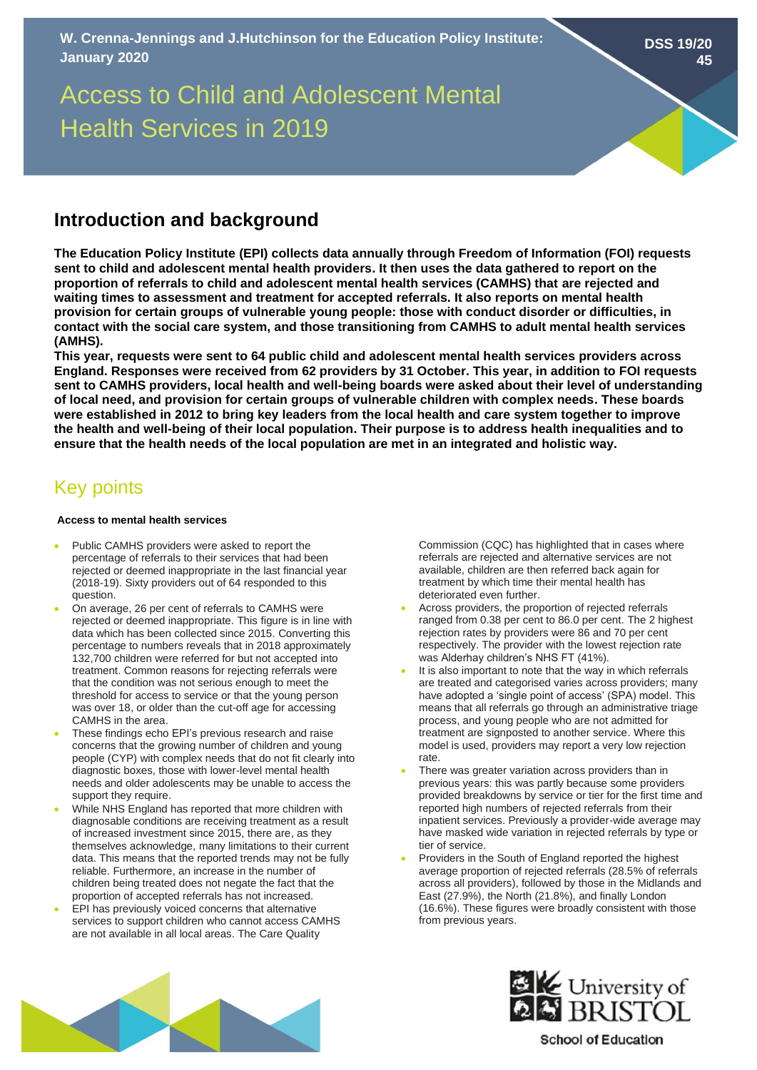**DSS 19/20 45**

# Access to Child and Adolescent Mental Health Services in 2019

## **Introduction and background**

**The Education Policy Institute (EPI) collects data annually through Freedom of Information (FOI) requests sent to child and adolescent mental health providers. It then uses the data gathered to report on the proportion of referrals to child and adolescent mental health services (CAMHS) that are rejected and waiting times to assessment and treatment for accepted referrals. It also reports on mental health provision for certain groups of vulnerable young people: those with conduct disorder or difficulties, in contact with the social care system, and those transitioning from CAMHS to adult mental health services (AMHS).** 

**This year, requests were sent to 64 public child and adolescent mental health services providers across England. Responses were received from 62 providers by 31 October. This year, in addition to FOI requests sent to CAMHS providers, local health and well-being boards were asked about their level of understanding of local need, and provision for certain groups of vulnerable children with complex needs. These boards were established in 2012 to bring key leaders from the local health and care system together to improve the health and well-being of their local population. Their purpose is to address health inequalities and to ensure that the health needs of the local population are met in an integrated and holistic way.** 

# Key points

### **Access to mental health services**

- Public CAMHS providers were asked to report the percentage of referrals to their services that had been rejected or deemed inappropriate in the last financial year (2018-19). Sixty providers out of 64 responded to this question.
- On average, 26 per cent of referrals to CAMHS were rejected or deemed inappropriate. This figure is in line with data which has been collected since 2015. Converting this percentage to numbers reveals that in 2018 approximately 132,700 children were referred for but not accepted into treatment. Common reasons for rejecting referrals were that the condition was not serious enough to meet the threshold for access to service or that the young person was over 18, or older than the cut-off age for accessing CAMHS in the area.
- These findings echo EPI's previous research and raise concerns that the growing number of children and young people (CYP) with complex needs that do not fit clearly into diagnostic boxes, those with lower-level mental health needs and older adolescents may be unable to access the support they require.
- While NHS England has reported that more children with diagnosable conditions are receiving treatment as a result of increased investment since 2015, there are, as they themselves acknowledge, many limitations to their current data. This means that the reported trends may not be fully reliable. Furthermore, an increase in the number of children being treated does not negate the fact that the proportion of accepted referrals has not increased.
- EPI has previously voiced concerns that alternative services to support children who cannot access CAMHS are not available in all local areas. The Care Quality

Commission (CQC) has highlighted that in cases where referrals are rejected and alternative services are not available, children are then referred back again for treatment by which time their mental health has deteriorated even further.

- Across providers, the proportion of rejected referrals ranged from 0.38 per cent to 86.0 per cent. The 2 highest rejection rates by providers were 86 and 70 per cent respectively. The provider with the lowest rejection rate was Alderhay children's NHS FT (41%).
- It is also important to note that the way in which referrals are treated and categorised varies across providers; many have adopted a 'single point of access' (SPA) model. This means that all referrals go through an administrative triage process, and young people who are not admitted for treatment are signposted to another service. Where this model is used, providers may report a very low rejection rate.
- There was greater variation across providers than in previous years: this was partly because some providers provided breakdowns by service or tier for the first time and reported high numbers of rejected referrals from their inpatient services. Previously a provider-wide average may have masked wide variation in rejected referrals by type or tier of service.
- Providers in the South of England reported the highest average proportion of rejected referrals (28.5% of referrals across all providers), followed by those in the Midlands and East (27.9%), the North (21.8%), and finally London (16.6%). These figures were broadly consistent with those from previous years.





**School of Education**